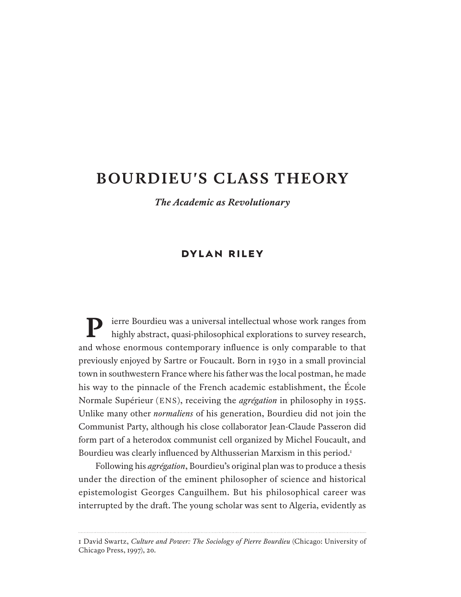# **SELF-TRANSFORMATION BOURDIEU'S CLASS THEORY**

*The Appeal & Limitations of the Work of Pierre Bourdieu The Academic as Revolutionary* 

### **DYLAN RILEY**

ierre Bourdieu was a universal intellectual whose work ranges from highly abstract, quasi-philosophical explorations to survey research, and whose enormous contemporary influence is only comparable to that previously enjoyed by Sartre or Foucault. Born in 1930 in a small provincial town in southwestern France where his father was the local postman, he made his way to the pinnacle of the French academic establishment, the École Normale Supérieur (ENS), receiving the *agrégation* in philosophy in 1955. Unlike many other *normaliens* of his generation, Bourdieu did not join the Communist Party, although his close collaborator Jean-Claude Passeron did form part of a heterodox communist cell organized by Michel Foucault, and Bourdieu was clearly influenced by Althusserian Marxism in this period.<sup>1</sup>

Following his *agrégation*, Bourdieu's original plan was to produce a thesis under the direction of the eminent philosopher of science and historical epistemologist Georges Canguilhem. But his philosophical career was interrupted by the draf. The young scholar was sent to Algeria, evidently as

<sup>1</sup> David Swartz, *Culture and Power: The Sociology of Pierre Bourdieu* (Chicago: University of Chicago Press, 1997), 20.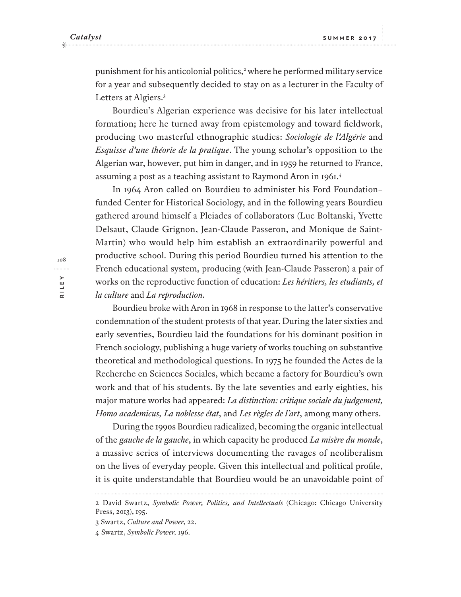punishment for his anticolonial politics,<sup>2</sup> where he performed military service for a year and subsequently decided to stay on as a lecturer in the Faculty of Letters at Algiers.<sup>3</sup>

Bourdieu's Algerian experience was decisive for his later intellectual formation; here he turned away from epistemology and toward fieldwork, producing two masterful ethnographic studies: *Sociologie de l'Algérie* and *Esquisse d'une théorie de la pratique*. The young scholar's opposition to the Algerian war, however, put him in danger, and in 1959 he returned to France, assuming a post as a teaching assistant to Raymond Aron in 1961. 4

In 1964 Aron called on Bourdieu to administer his Ford Foundation– funded Center for Historical Sociology, and in the following years Bourdieu gathered around himself a Pleiades of collaborators (Luc Boltanski, Yvette Delsaut, Claude Grignon, Jean-Claude Passeron, and Monique de Saint-Martin) who would help him establish an extraordinarily powerful and productive school. During this period Bourdieu turned his attention to the French educational system, producing (with Jean-Claude Passeron) a pair of works on the reproductive function of education: *Les héritiers, les etudiants, et la culture* and *La reproduction*.

Bourdieu broke with Aron in 1968 in response to the latter's conservative condemnation of the student protests of that year. During the later sixties and early seventies, Bourdieu laid the foundations for his dominant position in French sociology, publishing a huge variety of works touching on substantive theoretical and methodological questions. In 1975 he founded the Actes de la Recherche en Sciences Sociales, which became a factory for Bourdieu's own work and that of his students. By the late seventies and early eighties, his major mature works had appeared: *La distinction: critique sociale du judgement, Homo academicus, La noblesse état*, and *Les règles de l'art*, among many others.

During the 1990s Bourdieu radicalized, becoming the organic intellectual of the *gauche de la gauche*, in which capacity he produced *La misère du monde*, a massive series of interviews documenting the ravages of neoliberalism on the lives of everyday people. Given this intellectual and political profile, it is quite understandable that Bourdieu would be an unavoidable point of

<sup>2</sup> David Swartz, *Symbolic Power, Politics, and Intellectuals* (Chicago: Chicago University Press, 2013), 195.

<sup>3</sup> Swartz, *Culture and Power*, 22.

<sup>4</sup> Swartz, *Symbolic Power,* 196.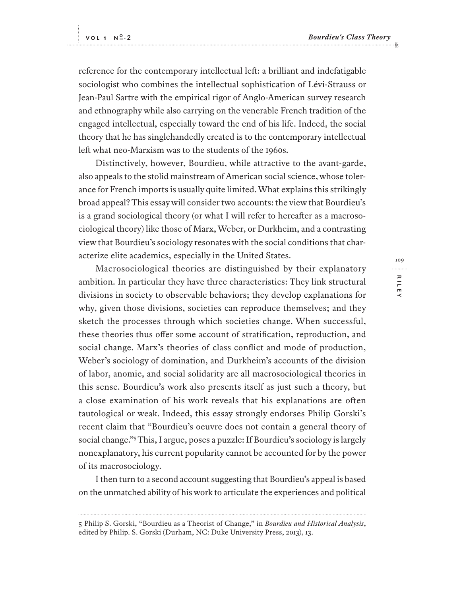**RILEY**

RILE

109

. . . . . . . . .

reference for the contemporary intellectual left: a brilliant and indefatigable sociologist who combines the intellectual sophistication of Lévi-Strauss or Jean-Paul Sartre with the empirical rigor of Anglo-American survey research and ethnography while also carrying on the venerable French tradition of the engaged intellectual, especially toward the end of his life. Indeed, the social theory that he has singlehandedly created is to the contemporary intellectual left what neo-Marxism was to the students of the 1960s.

Distinctively, however, Bourdieu, while attractive to the avant-garde, also appeals to the stolid mainstream of American social science, whose tolerance for French imports is usually quite limited. What explains this strikingly broad appeal? This essay will consider two accounts: the view that Bourdieu's is a grand sociological theory (or what I will refer to hereafer as a macrosociological theory) like those of Marx, Weber, or Durkheim, and a contrasting view that Bourdieu's sociology resonates with the social conditions that characterize elite academics, especially in the United States.

Macrosociological theories are distinguished by their explanatory ambition. In particular they have three characteristics: They link structural divisions in society to observable behaviors; they develop explanations for why, given those divisions, societies can reproduce themselves; and they sketch the processes through which societies change. When successful, these theories thus ofer some account of stratification, reproduction, and social change. Marx's theories of class conflict and mode of production, Weber's sociology of domination, and Durkheim's accounts of the division of labor, anomie, and social solidarity are all macrosociological theories in this sense. Bourdieu's work also presents itself as just such a theory, but a close examination of his work reveals that his explanations are often tautological or weak. Indeed, this essay strongly endorses Philip Gorski's recent claim that "Bourdieu's oeuvre does not contain a general theory of social change."<sup>5</sup> This, I argue, poses a puzzle: If Bourdieu's sociology is largely nonexplanatory, his current popularity cannot be accounted for by the power of its macrosociology.

I then turn to a second account suggesting that Bourdieu's appeal is based on the unmatched ability of his work to articulate the experiences and political

<sup>5</sup> Philip S. Gorski, "Bourdieu as a Theorist of Change," in *Bourdieu and Historical Analysis*, edited by Philip. S. Gorski (Durham, NC: Duke University Press, 2013), 13.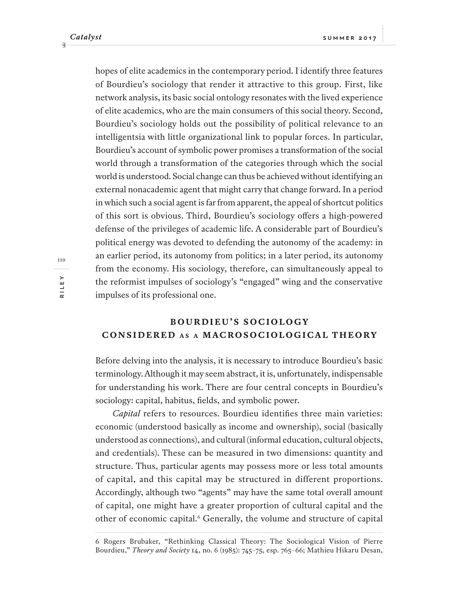hopes of elite academics in the contemporary period. I identify three features of Bourdieu's sociology that render it attractive to this group. First, like network analysis, its basic social ontology resonates with the lived experience of elite academics, who are the main consumers of this social theory. Second, Bourdieu's sociology holds out the possibility of political relevance to an intelligentsia with little organizational link to popular forces. In particular, Bourdieu's account of symbolic power promises a transformation of the social world through a transformation of the categories through which the social world is understood. Social change can thus be achieved without identifying an external nonacademic agent that might carry that change forward. In a period in which such a social agent is far from apparent, the appeal of shortcut politics of this sort is obvious. Third, Bourdieu's sociology ofers a high-powered defense of the privileges of academic life. A considerable part of Bourdieu's political energy was devoted to defending the autonomy of the academy: in an earlier period, its autonomy from politics; in a later period, its autonomy from the economy. His sociology, therefore, can simultaneously appeal to the reformist impulses of sociology's "engaged" wing and the conservative impulses of its professional one.

# **B O U R D I E U ' S S O C I O L O G Y CONSIDERED A S <sup>A</sup> MACROSOCIOLOGICAL THEORY**

Before delving into the analysis, it is necessary to introduce Bourdieu's basic terminology. Although it may seem abstract, it is, unfortunately, indispensable for understanding his work. There are four central concepts in Bourdieu's sociology: capital, habitus, fields, and symbolic power.

*Capital* refers to resources. Bourdieu identifies three main varieties: economic (understood basically as income and ownership), social (basically understood as connections), and cultural (informal education, cultural objects, and credentials). These can be measured in two dimensions: quantity and structure. Thus, particular agents may possess more or less total amounts of capital, and this capital may be structured in different proportions. Accordingly, although two "agents" may have the same total overall amount of capital, one might have a greater proportion of cultural capital and the other of economic capital.<sup>6</sup> Generally, the volume and structure of capital

<sup>6</sup> Rogers Brubaker, "Rethinking Classical Theory: The Sociological Vision of Pierre Bourdieu," *Theory and Society* 14, no. 6 (1985): 745–75, esp. 765–66; Mathieu Hikaru Desan,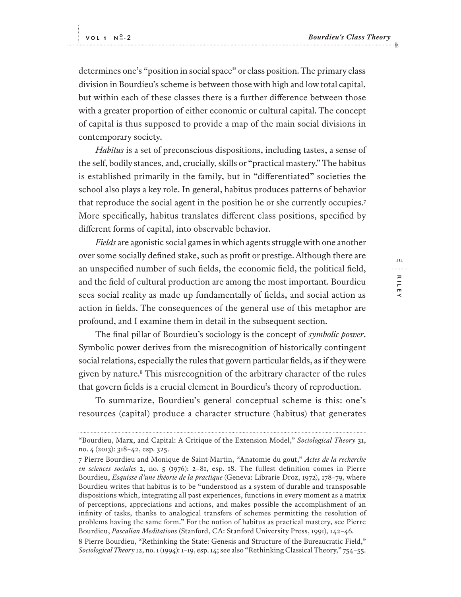determines one's "position in social space" or class position. The primary class division in Bourdieu's scheme is between those with high and low total capital, but within each of these classes there is a further diference between those with a greater proportion of either economic or cultural capital. The concept of capital is thus supposed to provide a map of the main social divisions in contemporary society.

*Habitus* is a set of preconscious dispositions, including tastes, a sense of the self, bodily stances, and, crucially, skills or "practical mastery." The habitus is established primarily in the family, but in "diferentiated" societies the school also plays a key role. In general, habitus produces patterns of behavior that reproduce the social agent in the position he or she currently occupies.<sup>7</sup> More specifically, habitus translates diferent class positions, specified by diferent forms of capital, into observable behavior.

*Fields* are agonistic social games in which agents struggle with one another over some socially defined stake, such as profit or prestige. Although there are an unspecified number of such fields, the economic field, the political field, and the field of cultural production are among the most important. Bourdieu sees social reality as made up fundamentally of fields, and social action as action in fields. The consequences of the general use of this metaphor are profound, and I examine them in detail in the subsequent section.

The final pillar of Bourdieu's sociology is the concept of *symbolic power*. Symbolic power derives from the misrecognition of historically contingent social relations, especially the rules that govern particular fields, as if they were given by nature.<sup>8</sup> This misrecognition of the arbitrary character of the rules that govern fields is a crucial element in Bourdieu's theory of reproduction.

To summarize, Bourdieu's general conceptual scheme is this: one's resources (capital) produce a character structure (habitus) that generates

**TTT RILEY** 111 . . . . . . . . . RILE

<sup>&</sup>quot;Bourdieu, Marx, and Capital: A Critique of the Extension Model," *Sociological Theory* 31, no. 4 (2013): 318–42, esp. 325.

<sup>7</sup> Pierre Bourdieu and Monique de Saint-Martin, "Anatomie du gout," *Actes de la recherche en sciences sociales* 2, no. 5 (1976): 2–81, esp. 18. The fullest definition comes in Pierre Bourdieu, *Esquisse d'une théorie de la practique* (Geneva: Librarie Droz, 1972), 178–79, where Bourdieu writes that habitus is to be "understood as a system of durable and transposable dispositions which, integrating all past experiences, functions in every moment as a matrix of perceptions, appreciations and actions, and makes possible the accomplishment of an infinity of tasks, thanks to analogical transfers of schemes permitting the resolution of problems having the same form." For the notion of habitus as practical mastery, see Pierre Bourdieu, *Pascalian Meditations* (Stanford, CA: Stanford University Press, 1991), 142–46.

<sup>8</sup> Pierre Bourdieu, "Rethinking the State: Genesis and Structure of the Bureaucratic Field," *Sociological Theory* 12, no. 1 (1994): 1–19, esp. 14; see also "Rethinking Classical Theory," 754–55.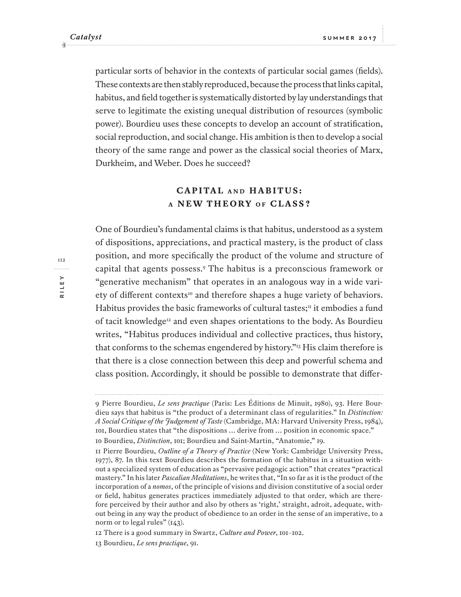particular sorts of behavior in the contexts of particular social games (fields). These contexts are then stably reproduced, because the process that links capital, habitus, and field together is systematically distorted by lay understandings that serve to legitimate the existing unequal distribution of resources (symbolic power). Bourdieu uses these concepts to develop an account of stratification, social reproduction, and social change. His ambition is then to develop a social theory of the same range and power as the classical social theories of Marx, Durkheim, and Weber. Does he succeed?

### **CAPITAL AND H A B I T U S : A NEW THEORY** OF **CLASS**?

One of Bourdieu's fundamental claims is that habitus, understood as a system of dispositions, appreciations, and practical mastery, is the product of class position, and more specifically the product of the volume and structure of capital that agents possess.<sup>9</sup> The habitus is a preconscious framework or "generative mechanism" that operates in an analogous way in a wide variety of different contexts<sup>10</sup> and therefore shapes a huge variety of behaviors. Habitus provides the basic frameworks of cultural tastes; $\mathbf{u}$  it embodies a fund of tacit knowledge<sup>12</sup> and even shapes orientations to the body. As Bourdieu writes, "Habitus produces individual and collective practices, thus history, that conforms to the schemas engendered by history."<sup>13</sup> His claim therefore is that there is a close connection between this deep and powerful schema and class position. Accordingly, it should be possible to demonstrate that difer-

<sup>9</sup> Pierre Bourdieu, *Le sens practique* (Paris: Les Éditions de Minuit, 1980), 93. Here Bourdieu says that habitus is "the product of a determinant class of regularities." In *Distinction: A Social Critique of the Judgement of Taste* (Cambridge, MA: Harvard University Press, 1984), 101, Bourdieu states that "the dispositions … derive from … position in economic space."

<sup>10</sup> Bourdieu, *Distinction*, 101; Bourdieu and Saint-Martin, "Anatomie," 19.

<sup>11</sup> Pierre Bourdieu, *Outline of a Theory of Practice* (New York: Cambridge University Press, 1977), 87. In this text Bourdieu describes the formation of the habitus in a situation without a specialized system of education as "pervasive pedagogic action" that creates "practical mastery." In his later *Pascalian Meditations*, he writes that, "In so far as it is the product of the incorporation of a *nomos*, of the principle of visions and division constitutive of a social order or field, habitus generates practices immediately adjusted to that order, which are therefore perceived by their author and also by others as 'right,' straight, adroit, adequate, without being in any way the product of obedience to an order in the sense of an imperative, to a norm or to legal rules" (143).

<sup>12</sup> There is a good summary in Swartz, *Culture and Power*, 101–102.

<sup>13</sup> Bourdieu, *Le sens practique*, 91.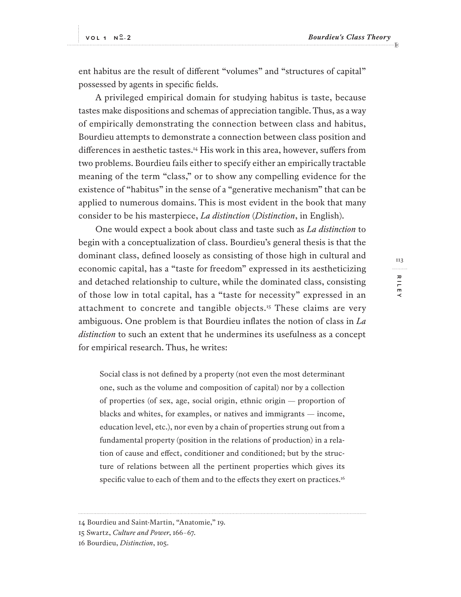ent habitus are the result of diferent "volumes" and "structures of capital" possessed by agents in specific fields.

A privileged empirical domain for studying habitus is taste, because tastes make dispositions and schemas of appreciation tangible. Thus, as a way of empirically demonstrating the connection between class and habitus, Bourdieu attempts to demonstrate a connection between class position and diferences in aesthetic tastes.<sup>14</sup> His work in this area, however, sufers from two problems. Bourdieu fails either to specify either an empirically tractable meaning of the term "class," or to show any compelling evidence for the existence of "habitus" in the sense of a "generative mechanism" that can be applied to numerous domains. This is most evident in the book that many consider to be his masterpiece, *La distinction* (*Distinction*, in English).

One would expect a book about class and taste such as *La distinction* to begin with a conceptualization of class. Bourdieu's general thesis is that the dominant class, defined loosely as consisting of those high in cultural and economic capital, has a "taste for freedom" expressed in its aestheticizing and detached relationship to culture, while the dominated class, consisting of those low in total capital, has a "taste for necessity" expressed in an attachment to concrete and tangible objects.<sup>15</sup> These claims are very ambiguous. One problem is that Bourdieu inflates the notion of class in *La distinction* to such an extent that he undermines its usefulness as a concept for empirical research. Thus, he writes:

Social class is not defined by a property (not even the most determinant one, such as the volume and composition of capital) nor by a collection of properties (of sex, age, social origin, ethnic origin — proportion of blacks and whites, for examples, or natives and immigrants — income, education level, etc.), nor even by a chain of properties strung out from a fundamental property (position in the relations of production) in a relation of cause and efect, conditioner and conditioned; but by the structure of relations between all the pertinent properties which gives its specific value to each of them and to the effects they exert on practices.<sup>16</sup>

113 . . . . . . . . . **RILEY RILEY**

<sup>14</sup> Bourdieu and Saint-Martin, "Anatomie," 19.

<sup>15</sup> Swartz, *Culture and Power*, 166–67.

<sup>16</sup> Bourdieu, *Distinction*, 105.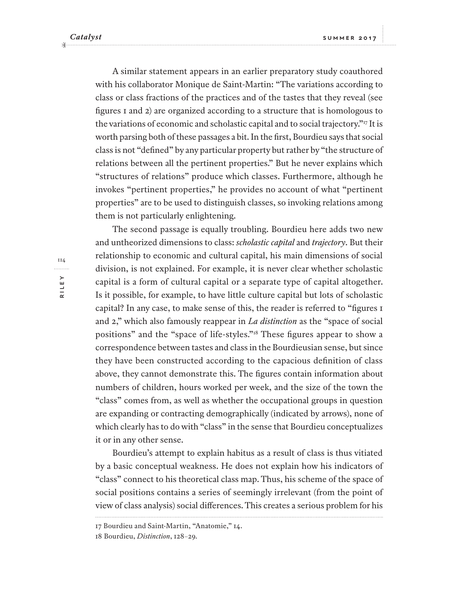A similar statement appears in an earlier preparatory study coauthored with his collaborator Monique de Saint-Martin: "The variations according to class or class fractions of the practices and of the tastes that they reveal (see figures 1 and 2) are organized according to a structure that is homologous to the variations of economic and scholastic capital and to social trajectory."<sup>17</sup> It is worth parsing both of these passages a bit. In the first, Bourdieu says that social class is not "defined" by any particular property but rather by "the structure of relations between all the pertinent properties." But he never explains which "structures of relations" produce which classes. Furthermore, although he invokes "pertinent properties," he provides no account of what "pertinent properties" are to be used to distinguish classes, so invoking relations among them is not particularly enlightening.

The second passage is equally troubling. Bourdieu here adds two new and untheorized dimensions to class: *scholastic capital* and *trajectory*. But their relationship to economic and cultural capital, his main dimensions of social division, is not explained. For example, it is never clear whether scholastic capital is a form of cultural capital or a separate type of capital altogether. Is it possible, for example, to have little culture capital but lots of scholastic capital? In any case, to make sense of this, the reader is referred to "figures 1 and 2," which also famously reappear in *La distinction* as the "space of social positions" and the "space of life-styles."<sup>18</sup> These figures appear to show a correspondence between tastes and class in the Bourdieusian sense, but since they have been constructed according to the capacious definition of class above, they cannot demonstrate this. The figures contain information about numbers of children, hours worked per week, and the size of the town the "class" comes from, as well as whether the occupational groups in question are expanding or contracting demographically (indicated by arrows), none of which clearly has to do with "class" in the sense that Bourdieu conceptualizes it or in any other sense.

Bourdieu's attempt to explain habitus as a result of class is thus vitiated by a basic conceptual weakness. He does not explain how his indicators of "class" connect to his theoretical class map. Thus, his scheme of the space of social positions contains a series of seemingly irrelevant (from the point of view of class analysis) social diferences. This creates a serious problem for his

<sup>17</sup> Bourdieu and Saint-Martin, "Anatomie," 14.

<sup>18</sup> Bourdieu, *Distinction*, 128–29.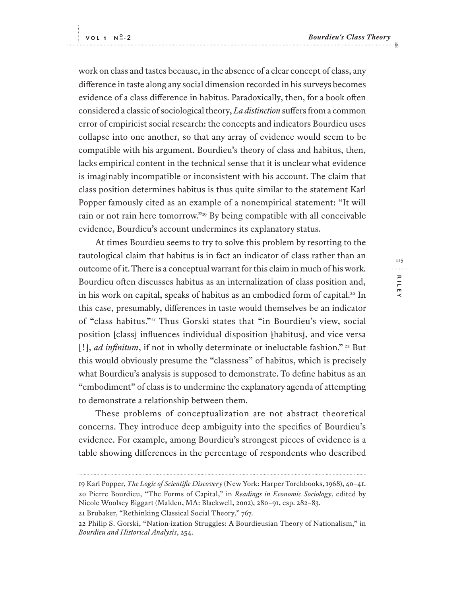**RILEY**

RILE

115

. . . . . . . . .

work on class and tastes because, in the absence of a clear concept of class, any diference in taste along any social dimension recorded in his surveys becomes evidence of a class diference in habitus. Paradoxically, then, for a book ofen considered a classic of sociological theory, *La distinction* sufers from a common error of empiricist social research: the concepts and indicators Bourdieu uses collapse into one another, so that any array of evidence would seem to be compatible with his argument. Bourdieu's theory of class and habitus, then, lacks empirical content in the technical sense that it is unclear what evidence is imaginably incompatible or inconsistent with his account. The claim that class position determines habitus is thus quite similar to the statement Karl Popper famously cited as an example of a nonempirical statement: "It will rain or not rain here tomorrow."<sup>19</sup> By being compatible with all conceivable evidence, Bourdieu's account undermines its explanatory status.

At times Bourdieu seems to try to solve this problem by resorting to the tautological claim that habitus is in fact an indicator of class rather than an outcome of it. There is a conceptual warrant for this claim in much of his work. Bourdieu ofen discusses habitus as an internalization of class position and, in his work on capital, speaks of habitus as an embodied form of capital.<sup>20</sup> In this case, presumably, diferences in taste would themselves be an indicator of "class habitus."<sup>21</sup> Thus Gorski states that "in Bourdieu's view, social position [class] influences individual disposition [habitus], and vice versa [!], *ad infinitum*, if not in wholly determinate or ineluctable fashion."<sup>22</sup> But this would obviously presume the "classness" of habitus, which is precisely what Bourdieu's analysis is supposed to demonstrate. To define habitus as an "embodiment" of class is to undermine the explanatory agenda of attempting to demonstrate a relationship between them.

These problems of conceptualization are not abstract theoretical concerns. They introduce deep ambiguity into the specifics of Bourdieu's evidence. For example, among Bourdieu's strongest pieces of evidence is a table showing diferences in the percentage of respondents who described

21 Brubaker, "Rethinking Classical Social Theory," 767.

<sup>19</sup> Karl Popper, *The Logic of Scientific Discovery* (New York: Harper Torchbooks, 1968), 40–41. 20 Pierre Bourdieu, "The Forms of Capital," in *Readings in Economic Sociology*, edited by Nicole Woolsey Biggart (Malden, MA: Blackwell, 2002), 280–91, esp. 282–83.

<sup>22</sup> Philip S. Gorski, "Nation-ization Struggles: A Bourdieusian Theory of Nationalism," in *Bourdieu and Historical Analysis*, 254.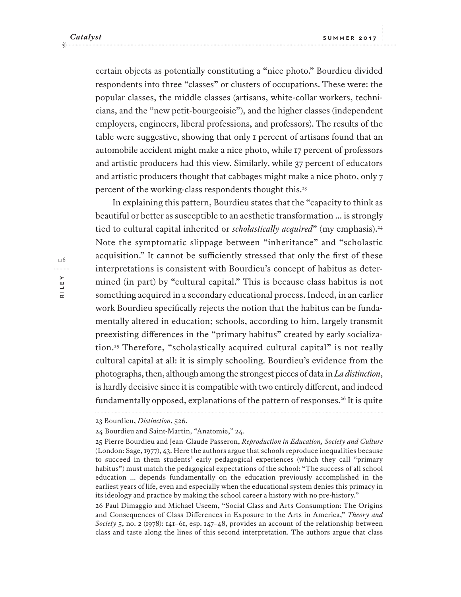certain objects as potentially constituting a "nice photo." Bourdieu divided respondents into three "classes" or clusters of occupations. These were: the popular classes, the middle classes (artisans, white-collar workers, technicians, and the "new petit-bourgeoisie"), and the higher classes (independent employers, engineers, liberal professions, and professors). The results of the table were suggestive, showing that only 1 percent of artisans found that an automobile accident might make a nice photo, while 17 percent of professors and artistic producers had this view. Similarly, while 37 percent of educators and artistic producers thought that cabbages might make a nice photo, only 7 percent of the working-class respondents thought this.<sup>23</sup>

In explaining this pattern, Bourdieu states that the "capacity to think as beautiful or better as susceptible to an aesthetic transformation ... is strongly tied to cultural capital inherited or *scholastically acquired*" (my emphasis).<sup>24</sup> Note the symptomatic slippage between "inheritance" and "scholastic acquisition." It cannot be sufficiently stressed that only the first of these interpretations is consistent with Bourdieu's concept of habitus as determined (in part) by "cultural capital." This is because class habitus is not something acquired in a secondary educational process. Indeed, in an earlier work Bourdieu specifically rejects the notion that the habitus can be fundamentally altered in education; schools, according to him, largely transmit preexisting diferences in the "primary habitus" created by early socialization.<sup>25</sup> Therefore, "scholastically acquired cultural capital" is not really cultural capital at all: it is simply schooling. Bourdieu's evidence from the photographs, then, although among the strongest pieces of data in *La distinction*, is hardly decisive since it is compatible with two entirely diferent, and indeed fundamentally opposed, explanations of the pattern of responses.<sup>26</sup> It is quite

26 Paul Dimaggio and Michael Useem, "Social Class and Arts Consumption: The Origins and Consequences of Class Diferences in Exposure to the Arts in America," *Theory and Society* 5, no. 2 (1978): 141–61, esp. 147–48, provides an account of the relationship between class and taste along the lines of this second interpretation. The authors argue that class

116. . . . . . . . . . **RILEY**

<sup>23</sup> Bourdieu, *Distinction*, 526.

<sup>24</sup> Bourdieu and Saint-Martin, "Anatomie," 24.

<sup>25</sup> Pierre Bourdieu and Jean-Claude Passeron, *Reproduction in Education, Society and Culture* (London: Sage, 1977), 43. Here the authors argue that schools reproduce inequalities because to succeed in them students' early pedagogical experiences (which they call "primary habitus") must match the pedagogical expectations of the school: "The success of all school education ... depends fundamentally on the education previously accomplished in the earliest years of life, even and especially when the educational system denies this primacy in its ideology and practice by making the school career a history with no pre-history."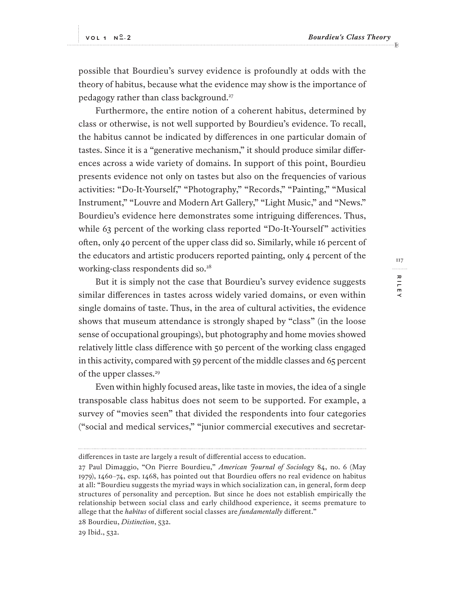possible that Bourdieu's survey evidence is profoundly at odds with the theory of habitus, because what the evidence may show is the importance of pedagogy rather than class background.<sup>27</sup>

Furthermore, the entire notion of a coherent habitus, determined by class or otherwise, is not well supported by Bourdieu's evidence. To recall, the habitus cannot be indicated by diferences in one particular domain of tastes. Since it is a "generative mechanism," it should produce similar diferences across a wide variety of domains. In support of this point, Bourdieu presents evidence not only on tastes but also on the frequencies of various activities: "Do-It-Yourself," "Photography," "Records," "Painting," "Musical Instrument," "Louvre and Modern Art Gallery," "Light Music," and "News." Bourdieu's evidence here demonstrates some intriguing diferences. Thus, while 63 percent of the working class reported "Do-It-Yourself" activities ofen, only 40 percent of the upper class did so. Similarly, while 16 percent of the educators and artistic producers reported painting, only 4 percent of the working-class respondents did so.<sup>28</sup>

But it is simply not the case that Bourdieu's survey evidence suggests similar diferences in tastes across widely varied domains, or even within single domains of taste. Thus, in the area of cultural activities, the evidence shows that museum attendance is strongly shaped by "class" (in the loose sense of occupational groupings), but photography and home movies showed relatively little class diference with 50 percent of the working class engaged in this activity, compared with 59 percent of the middle classes and 65 percent of the upper classes.<sup>29</sup>

Even within highly focused areas, like taste in movies, the idea of a single transposable class habitus does not seem to be supported. For example, a survey of "movies seen" that divided the respondents into four categories ("social and medical services," "junior commercial executives and secretar-

29 Ibid., 532.

diferences in taste are largely a result of diferential access to education.

<sup>27</sup> Paul Dimaggio, "On Pierre Bourdieu," *American Journal of Sociology* 84, no. 6 (May 1979), 1460–74, esp. 1468, has pointed out that Bourdieu ofers no real evidence on habitus at all: "Bourdieu suggests the myriad ways in which socialization can, in general, form deep structures of personality and perception. But since he does not establish empirically the relationship between social class and early childhood experience, it seems premature to allege that the *habitus* of diferent social classes are *fundamentally* diferent."

<sup>28</sup> Bourdieu, *Distinction*, 532.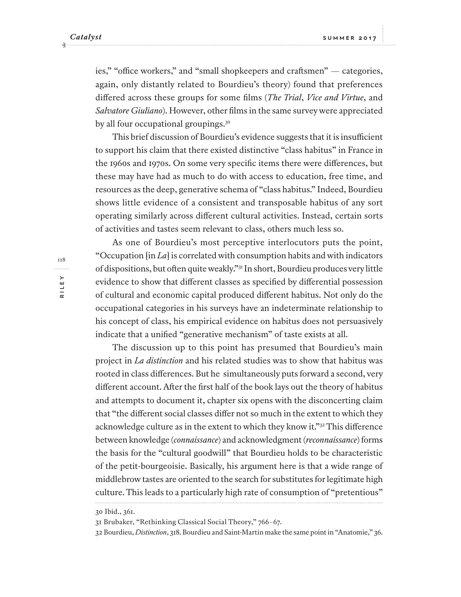ies," "office workers," and "small shopkeepers and craftsmen" — categories, again, only distantly related to Bourdieu's theory) found that preferences difered across these groups for some films (*The Trial*, *Vice and Virtue*, and *Salvatore Giuliano*). However, other films in the same survey were appreciated by all four occupational groupings.<sup>30</sup>

This brief discussion of Bourdieu's evidence suggests that it is insufficient to support his claim that there existed distinctive "class habitus" in France in the 1960s and 1970s. On some very specific items there were diferences, but these may have had as much to do with access to education, free time, and resources as the deep, generative schema of "class habitus." Indeed, Bourdieu shows little evidence of a consistent and transposable habitus of any sort operating similarly across diferent cultural activities. Instead, certain sorts of activities and tastes seem relevant to class, others much less so.

As one of Bourdieu's most perceptive interlocutors puts the point, "Occupation [in *La*] is correlated with consumption habits and with indicators of dispositions, but ofen quite weakly."<sup>31</sup> In short, Bourdieu produces very little evidence to show that diferent classes as specified by diferential possession of cultural and economic capital produced diferent habitus. Not only do the occupational categories in his surveys have an indeterminate relationship to his concept of class, his empirical evidence on habitus does not persuasively indicate that a unified "generative mechanism" of taste exists at all.

The discussion up to this point has presumed that Bourdieu's main project in *La distinction* and his related studies was to show that habitus was rooted in class diferences. But he simultaneously puts forward a second, very diferent account. Afer the first half of the book lays out the theory of habitus and attempts to document it, chapter six opens with the disconcerting claim that "the diferent social classes difer not so much in the extent to which they acknowledge culture as in the extent to which they know it."<sup>32</sup> This diference between knowledge (*connaissance*) and acknowledgment (*reconnaissance*) forms the basis for the "cultural goodwill" that Bourdieu holds to be characteristic of the petit-bourgeoisie. Basically, his argument here is that a wide range of middlebrow tastes are oriented to the search for substitutes for legitimate high culture. This leads to a particularly high rate of consumption of "pretentious"

118**RILEY**

<sup>30</sup> Ibid., 361.

<sup>31</sup> Brubaker, "Rethinking Classical Social Theory," 766–67.

<sup>32</sup> Bourdieu, *Distinction*, 318. Bourdieu and Saint-Martin make the same point in "Anatomie," 36.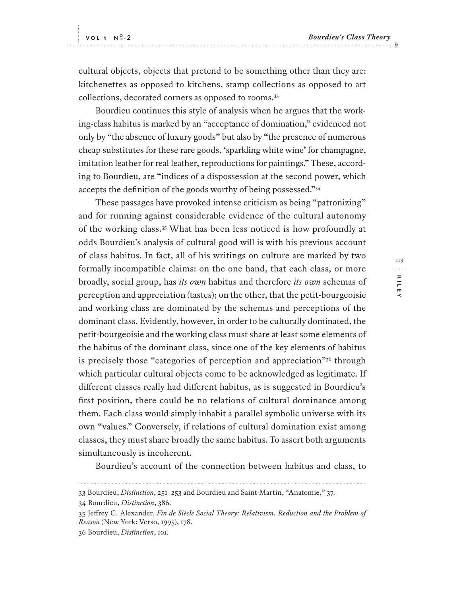cultural objects, objects that pretend to be something other than they are: kitchenettes as opposed to kitchens, stamp collections as opposed to art collections, decorated corners as opposed to rooms.<sup>33</sup>

Bourdieu continues this style of analysis when he argues that the working-class habitus is marked by an "acceptance of domination," evidenced not only by "the absence of luxury goods" but also by "the presence of numerous cheap substitutes for these rare goods, 'sparkling white wine' for champagne, imitation leather for real leather, reproductions for paintings." These, according to Bourdieu, are "indices of a dispossession at the second power, which accepts the definition of the goods worthy of being possessed."<sup>34</sup>

These passages have provoked intense criticism as being "patronizing" and for running against considerable evidence of the cultural autonomy of the working class.<sup>35</sup> What has been less noticed is how profoundly at odds Bourdieu's analysis of cultural good will is with his previous account of class habitus. In fact, all of his writings on culture are marked by two formally incompatible claims: on the one hand, that each class, or more broadly, social group, has *its own* habitus and therefore *its own* schemas of perception and appreciation (tastes); on the other, that the petit-bourgeoisie and working class are dominated by the schemas and perceptions of the dominant class. Evidently, however, in order to be culturally dominated, the petit-bourgeoisie and the working class must share at least some elements of the habitus of the dominant class, since one of the key elements of habitus is precisely those "categories of perception and appreciation"<sup>36</sup> through which particular cultural objects come to be acknowledged as legitimate. If diferent classes really had diferent habitus, as is suggested in Bourdieu's first position, there could be no relations of cultural dominance among them. Each class would simply inhabit a parallel symbolic universe with its own "values." Conversely, if relations of cultural domination exist among classes, they must share broadly the same habitus. To assert both arguments simultaneously is incoherent.

Bourdieu's account of the connection between habitus and class, to

<sup>33</sup> Bourdieu, *Distinction*, 251–253 and Bourdieu and Saint-Martin, "Anatomie," 37.

<sup>34</sup> Bourdieu, *Distinction*, 386.

<sup>35</sup> Jefrey C. Alexander, *Fin de Siècle Social Theory: Relativism, Reduction and the Problem of Reason* (New York: Verso, 1995), 178.

<sup>36</sup> Bourdieu, *Distinction*, 101.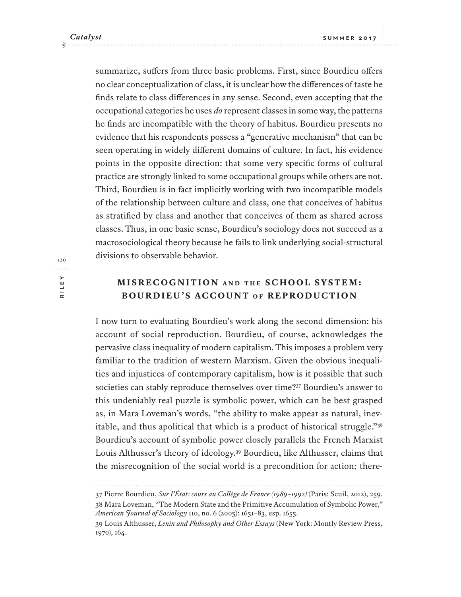summarize, sufers from three basic problems. First, since Bourdieu ofers no clear conceptualization of class, it is unclear how the diferences of taste he finds relate to class diferences in any sense. Second, even accepting that the occupational categories he uses *do* represent classes in some way, the patterns he finds are incompatible with the theory of habitus. Bourdieu presents no evidence that his respondents possess a "generative mechanism" that can be seen operating in widely diferent domains of culture. In fact, his evidence points in the opposite direction: that some very specific forms of cultural practice are strongly linked to some occupational groups while others are not. Third, Bourdieu is in fact implicitly working with two incompatible models of the relationship between culture and class, one that conceives of habitus as stratified by class and another that conceives of them as shared across classes. Thus, in one basic sense, Bourdieu's sociology does not succeed as a macrosociological theory because he fails to link underlying social-structural divisions to observable behavior.

# **MISRECOGNITION AND THE SCHOOL SYSTEM: BOURDIEU'S ACCOUNT OF REPRODUCTION**

I now turn to evaluating Bourdieu's work along the second dimension: his account of social reproduction. Bourdieu, of course, acknowledges the pervasive class inequality of modern capitalism. This imposes a problem very familiar to the tradition of western Marxism. Given the obvious inequalities and injustices of contemporary capitalism, how is it possible that such societies can stably reproduce themselves over time?<sup>37</sup> Bourdieu's answer to this undeniably real puzzle is symbolic power, which can be best grasped as, in Mara Loveman's words, "the ability to make appear as natural, inevitable, and thus apolitical that which is a product of historical struggle."<sup>38</sup> Bourdieu's account of symbolic power closely parallels the French Marxist Louis Althusser's theory of ideology.<sup>39</sup> Bourdieu, like Althusser, claims that the misrecognition of the social world is a precondition for action; there-

<sup>37</sup> Pierre Bourdieu, *Sur l'État: cours au Collège de France (1989–1992)* (Paris: Seuil, 2012), 259. 38 Mara Loveman, "The Modern State and the Primitive Accumulation of Symbolic Power," *American Journal of Sociology* 110, no. 6 (2005): 1651–83, esp. 1655.

<sup>39</sup> Louis Althusser, *Lenin and Philosophy and Other Essays* (New York: Montly Review Press, 1970), 164.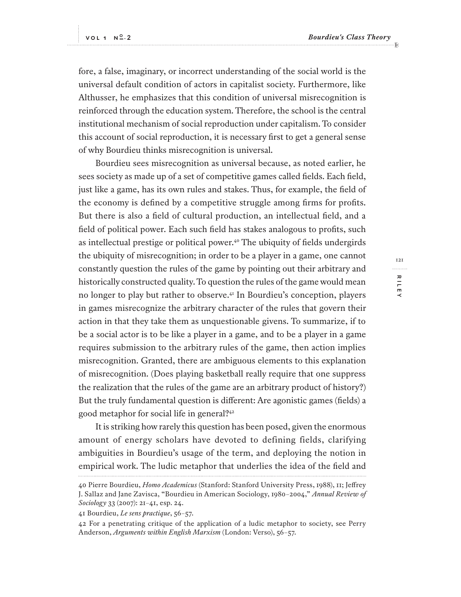fore, a false, imaginary, or incorrect understanding of the social world is the universal default condition of actors in capitalist society. Furthermore, like Althusser, he emphasizes that this condition of universal misrecognition is reinforced through the education system. Therefore, the school is the central institutional mechanism of social reproduction under capitalism. To consider this account of social reproduction, it is necessary first to get a general sense of why Bourdieu thinks misrecognition is universal.

Bourdieu sees misrecognition as universal because, as noted earlier, he sees society as made up of a set of competitive games called fields. Each field, just like a game, has its own rules and stakes. Thus, for example, the field of the economy is defined by a competitive struggle among firms for profits. But there is also a field of cultural production, an intellectual field, and a field of political power. Each such field has stakes analogous to profits, such as intellectual prestige or political power.<sup>40</sup> The ubiquity of fields undergirds the ubiquity of misrecognition; in order to be a player in a game, one cannot constantly question the rules of the game by pointing out their arbitrary and historically constructed quality. To question the rules of the game would mean no longer to play but rather to observe.<sup>41</sup> In Bourdieu's conception, players in games misrecognize the arbitrary character of the rules that govern their action in that they take them as unquestionable givens. To summarize, if to be a social actor is to be like a player in a game, and to be a player in a game requires submission to the arbitrary rules of the game, then action implies misrecognition. Granted, there are ambiguous elements to this explanation of misrecognition. (Does playing basketball really require that one suppress the realization that the rules of the game are an arbitrary product of history?) But the truly fundamental question is diferent: Are agonistic games (fields) a good metaphor for social life in general?<sup>42</sup>

It is striking how rarely this question has been posed, given the enormous amount of energy scholars have devoted to defining fields, clarifying ambiguities in Bourdieu's usage of the term, and deploying the notion in empirical work. The ludic metaphor that underlies the idea of the field and

 $12.1$ **RILEY** . . . . . . . . . RILE

<sup>40</sup> Pierre Bourdieu, *Homo Academicus* (Stanford: Stanford University Press, 1988), 11; Jefrey J. Sallaz and Jane Zavisca, "Bourdieu in American Sociology, 1980–2004," *Annual Review of Sociology* 33 (2007): 21–41, esp. 24.

<sup>41</sup> Bourdieu, *Le sens practique*, 56–57.

<sup>42</sup> For a penetrating critique of the application of a ludic metaphor to society, see Perry Anderson, *Arguments within English Marxism* (London: Verso), 56–57.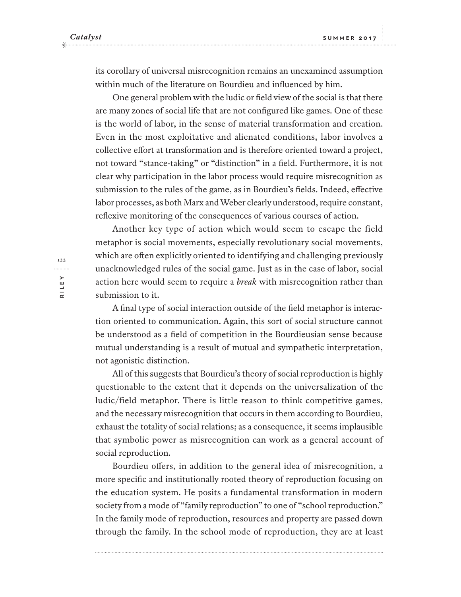its corollary of universal misrecognition remains an unexamined assumption within much of the literature on Bourdieu and influenced by him.

One general problem with the ludic or field view of the social is that there are many zones of social life that are not configured like games. One of these is the world of labor, in the sense of material transformation and creation. Even in the most exploitative and alienated conditions, labor involves a collective efort at transformation and is therefore oriented toward a project, not toward "stance-taking" or "distinction" in a field. Furthermore, it is not clear why participation in the labor process would require misrecognition as submission to the rules of the game, as in Bourdieu's fields. Indeed, efective labor processes, as both Marx and Weber clearly understood, require constant, reflexive monitoring of the consequences of various courses of action.

Another key type of action which would seem to escape the field metaphor is social movements, especially revolutionary social movements, which are often explicitly oriented to identifying and challenging previously unacknowledged rules of the social game. Just as in the case of labor, social action here would seem to require a *break* with misrecognition rather than submission to it.

A final type of social interaction outside of the field metaphor is interaction oriented to communication. Again, this sort of social structure cannot be understood as a field of competition in the Bourdieusian sense because mutual understanding is a result of mutual and sympathetic interpretation, not agonistic distinction.

All of this suggests that Bourdieu's theory of social reproduction is highly questionable to the extent that it depends on the universalization of the ludic/field metaphor. There is little reason to think competitive games, and the necessary misrecognition that occurs in them according to Bourdieu, exhaust the totality of social relations; as a consequence, it seems implausible that symbolic power as misrecognition can work as a general account of social reproduction.

Bourdieu ofers, in addition to the general idea of misrecognition, a more specific and institutionally rooted theory of reproduction focusing on the education system. He posits a fundamental transformation in modern society from a mode of "family reproduction" to one of "school reproduction." In the family mode of reproduction, resources and property are passed down through the family. In the school mode of reproduction, they are at least

122**RILEY**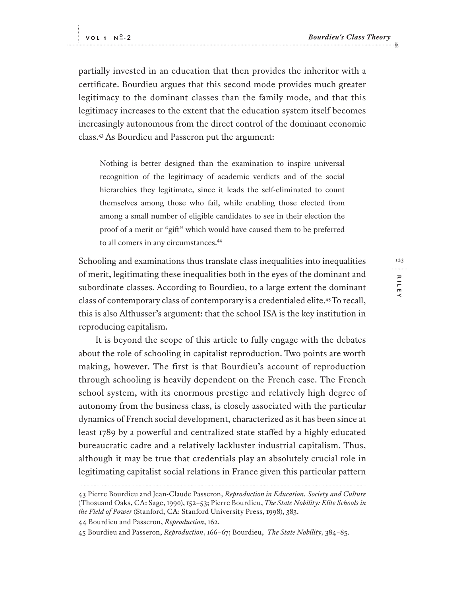partially invested in an education that then provides the inheritor with a certificate. Bourdieu argues that this second mode provides much greater legitimacy to the dominant classes than the family mode, and that this legitimacy increases to the extent that the education system itself becomes increasingly autonomous from the direct control of the dominant economic class.<sup>43</sup> As Bourdieu and Passeron put the argument:

Nothing is better designed than the examination to inspire universal recognition of the legitimacy of academic verdicts and of the social hierarchies they legitimate, since it leads the self-eliminated to count themselves among those who fail, while enabling those elected from among a small number of eligible candidates to see in their election the proof of a merit or "gif" which would have caused them to be preferred to all comers in any circumstances.<sup>44</sup>

Schooling and examinations thus translate class inequalities into inequalities of merit, legitimating these inequalities both in the eyes of the dominant and subordinate classes. According to Bourdieu, to a large extent the dominant class of contemporary class of contemporary is a credentialed elite.<sup>45</sup>To recall, this is also Althusser's argument: that the school ISA is the key institution in reproducing capitalism.

It is beyond the scope of this article to fully engage with the debates about the role of schooling in capitalist reproduction. Two points are worth making, however. The first is that Bourdieu's account of reproduction through schooling is heavily dependent on the French case. The French school system, with its enormous prestige and relatively high degree of autonomy from the business class, is closely associated with the particular dynamics of French social development, characterized as it has been since at least 1789 by a powerful and centralized state stafed by a highly educated bureaucratic cadre and a relatively lackluster industrial capitalism. Thus, although it may be true that credentials play an absolutely crucial role in legitimating capitalist social relations in France given this particular pattern

<sup>43</sup> Pierre Bourdieu and Jean-Claude Passeron, *Reproduction in Education, Society and Culture* (Thosuand Oaks, CA: Sage, 1990), 152–53; Pierre Bourdieu, *The State Nobility: Elite Schools in the Field of Power* (Stanford, CA: Stanford University Press, 1998), 383.

<sup>44</sup> Bourdieu and Passeron, *Reproduction*, 162.

<sup>45</sup> Bourdieu and Passeron, *Reproduction*, 166–67; Bourdieu, *The State Nobility*, 384–85.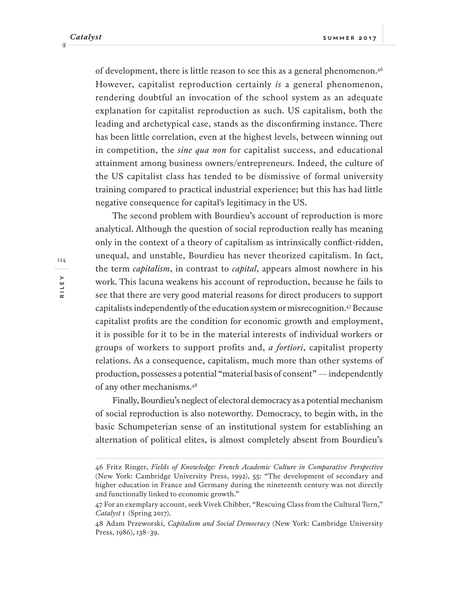of development, there is little reason to see this as a general phenomenon.<sup>46</sup> However, capitalist reproduction certainly *is* a general phenomenon, rendering doubtful an invocation of the school system as an adequate explanation for capitalist reproduction as such. US capitalism, both the leading and archetypical case, stands as the disconfirming instance. There has been little correlation, even at the highest levels, between winning out in competition, the *sine qua non* for capitalist success, and educational attainment among business owners/entrepreneurs. Indeed, the culture of the US capitalist class has tended to be dismissive of formal university training compared to practical industrial experience; but this has had little negative consequence for capital's legitimacy in the US.

The second problem with Bourdieu's account of reproduction is more analytical. Although the question of social reproduction really has meaning only in the context of a theory of capitalism as intrinsically conflict-ridden, unequal, and unstable, Bourdieu has never theorized capitalism. In fact, the term *capitalism*, in contrast to *capital*, appears almost nowhere in his work. This lacuna weakens his account of reproduction, because he fails to see that there are very good material reasons for direct producers to support capitalists independently of the education system or misrecognition.<sup>47</sup> Because capitalist profits are the condition for economic growth and employment, it is possible for it to be in the material interests of individual workers or groups of workers to support profits and, *a fortiori*, capitalist property relations. As a consequence, capitalism, much more than other systems of production, possesses a potential "material basis of consent" — independently of any other mechanisms.<sup>48</sup>

Finally, Bourdieu's neglect of electoral democracy as a potential mechanism of social reproduction is also noteworthy. Democracy, to begin with, in the basic Schumpeterian sense of an institutional system for establishing an alternation of political elites, is almost completely absent from Bourdieu's

<sup>46</sup> Fritz Ringer, *Fields of Knowledge: French Academic Culture in Comparative Perspective* (New York: Cambridge University Press, 1992), 55: "The development of secondary and higher education in France and Germany during the nineteenth century was not directly and functionally linked to economic growth."

<sup>47</sup> For an exemplary account, seek Vivek Chibber, "Rescuing Class from the Cultural Turn," *Catalyst* 1 (Spring 2017).

<sup>48</sup> Adam Przeworski, *Capitalism and Social Democracy* (New York: Cambridge University Press, 1986), 138–39.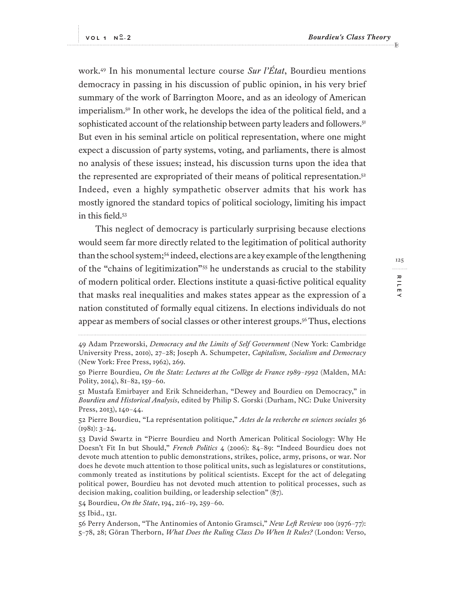work.<sup>49</sup> In his monumental lecture course *Sur l'État*, Bourdieu mentions democracy in passing in his discussion of public opinion, in his very brief summary of the work of Barrington Moore, and as an ideology of American imperialism.<sup>50</sup> In other work, he develops the idea of the political field, and a sophisticated account of the relationship between party leaders and followers.<sup>51</sup> But even in his seminal article on political representation, where one might expect a discussion of party systems, voting, and parliaments, there is almost no analysis of these issues; instead, his discussion turns upon the idea that the represented are expropriated of their means of political representation.<sup>52</sup> Indeed, even a highly sympathetic observer admits that his work has mostly ignored the standard topics of political sociology, limiting his impact in this field.<sup>53</sup>

This neglect of democracy is particularly surprising because elections would seem far more directly related to the legitimation of political authority than the school system;<sup>54</sup> indeed, elections are a key example of the lengthening of the "chains of legitimization"<sup>55</sup> he understands as crucial to the stability of modern political order. Elections institute a quasi-fictive political equality that masks real inequalities and makes states appear as the expression of a nation constituted of formally equal citizens. In elections individuals do not appear as members of social classes or other interest groups.<sup>56</sup> Thus, elections

52 Pierre Bourdieu, "La représentation politique," *Actes de la recherche en sciences sociales* 36  $(1981): 3-24.$ 

54 Bourdieu, *On the State*, 194, 216–19, 259–60.

55 Ibid., 131.

<sup>49</sup> Adam Przeworski, *Democracy and the Limits of Self Government* (New York: Cambridge University Press, 2010), 27–28; Joseph A. Schumpeter, *Capitalism, Socialism and Democracy* (New York: Free Press, 1962), 269.

<sup>50</sup> Pierre Bourdieu, *On the State: Lectures at the Collège de France 1989–1992* (Malden, MA: Polity, 2014), 81–82, 159–60.

<sup>51</sup> Mustafa Emirbayer and Erik Schneiderhan, "Dewey and Bourdieu on Democracy," in *Bourdieu and Historical Analysis*, edited by Philip S. Gorski (Durham, NC: Duke University Press, 2013), 140–44.

<sup>53</sup> David Swartz in "Pierre Bourdieu and North American Political Sociology: Why He Doesn't Fit In but Should," *French Politics* 4 (2006): 84–89: "Indeed Bourdieu does not devote much attention to public demonstrations, strikes, police, army, prisons, or war. Nor does he devote much attention to those political units, such as legislatures or constitutions, commonly treated as institutions by political scientists. Except for the act of delegating political power, Bourdieu has not devoted much attention to political processes, such as decision making, coalition building, or leadership selection" (87).

<sup>56</sup> Perry Anderson, "The Antinomies of Antonio Gramsci," *New Lef Review* 100 (1976–77): 5–78, 28; Göran Therborn, *What Does the Ruling Class Do When It Rules?* (London: Verso,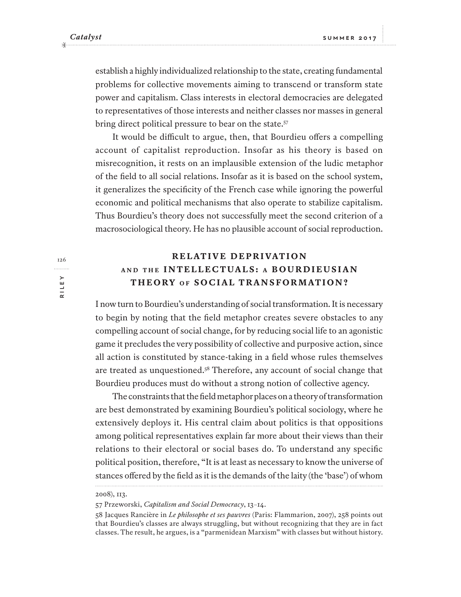establish a highly individualized relationship to the state, creating fundamental problems for collective movements aiming to transcend or transform state power and capitalism. Class interests in electoral democracies are delegated to representatives of those interests and neither classes nor masses in general bring direct political pressure to bear on the state.<sup>57</sup>

It would be difficult to argue, then, that Bourdieu offers a compelling account of capitalist reproduction. Insofar as his theory is based on misrecognition, it rests on an implausible extension of the ludic metaphor of the field to all social relations. Insofar as it is based on the school system, it generalizes the specificity of the French case while ignoring the powerful economic and political mechanisms that also operate to stabilize capitalism. Thus Bourdieu's theory does not successfully meet the second criterion of a macrosociological theory. He has no plausible account of social reproduction.

# **R E L AT I V E D E P R I VAT I O N AND THE INTELLECTUALS: A B O U R D I E U S I A N THEORY OF SOCIAL TRANSFORMATION?**

I now turn to Bourdieu's understanding of social transformation. It is necessary to begin by noting that the field metaphor creates severe obstacles to any compelling account of social change, for by reducing social life to an agonistic game it precludes the very possibility of collective and purposive action, since all action is constituted by stance-taking in a field whose rules themselves are treated as unquestioned.<sup>58</sup> Therefore, any account of social change that Bourdieu produces must do without a strong notion of collective agency.

The constraints that the field metaphor places on a theory of transformation are best demonstrated by examining Bourdieu's political sociology, where he extensively deploys it. His central claim about politics is that oppositions among political representatives explain far more about their views than their relations to their electoral or social bases do. To understand any specific political position, therefore, "It is at least as necessary to know the universe of stances ofered by the field as it is the demands of the laity (the 'base') of whom

57 Przeworski, *Capitalism and Social Democracy*, 13–14.

<sup>2008</sup>), 113.

<sup>58</sup> Jacques Rancière in *Le philosophe et ses pauvres* (Paris: Flammarion, 2007), 258 points out that Bourdieu's classes are always struggling, but without recognizing that they are in fact classes. The result, he argues, is a "parmenidean Marxism" with classes but without history.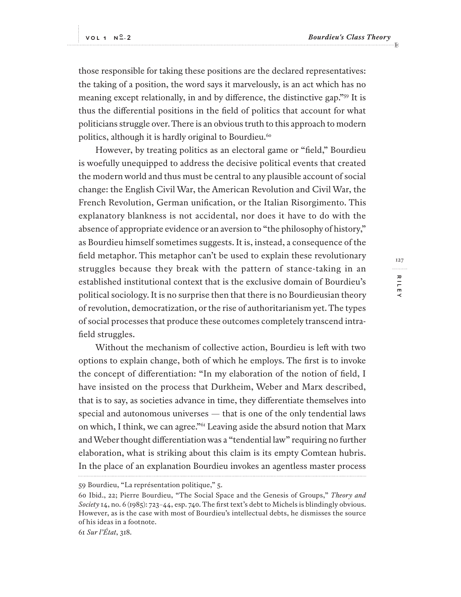those responsible for taking these positions are the declared representatives: the taking of a position, the word says it marvelously, is an act which has no meaning except relationally, in and by diference, the distinctive gap."<sup>59</sup> It is thus the diferential positions in the field of politics that account for what politicians struggle over. There is an obvious truth to this approach to modern politics, although it is hardly original to Bourdieu.<sup>60</sup>

However, by treating politics as an electoral game or "field," Bourdieu is woefully unequipped to address the decisive political events that created the modern world and thus must be central to any plausible account of social change: the English Civil War, the American Revolution and Civil War, the French Revolution, German unification, or the Italian Risorgimento. This explanatory blankness is not accidental, nor does it have to do with the absence of appropriate evidence or an aversion to "the philosophy of history," as Bourdieu himself sometimes suggests. It is, instead, a consequence of the field metaphor. This metaphor can't be used to explain these revolutionary struggles because they break with the pattern of stance-taking in an established institutional context that is the exclusive domain of Bourdieu's political sociology. It is no surprise then that there is no Bourdieusian theory of revolution, democratization, or the rise of authoritarianism yet. The types of social processes that produce these outcomes completely transcend intrafield struggles.

Without the mechanism of collective action, Bourdieu is left with two options to explain change, both of which he employs. The first is to invoke the concept of diferentiation: "In my elaboration of the notion of field, I have insisted on the process that Durkheim, Weber and Marx described, that is to say, as societies advance in time, they diferentiate themselves into special and autonomous universes — that is one of the only tendential laws on which, I think, we can agree."<sup>61</sup> Leaving aside the absurd notion that Marx and Weber thought diferentiation was a "tendential law" requiring no further elaboration, what is striking about this claim is its empty Comtean hubris. In the place of an explanation Bourdieu invokes an agentless master process

61 *Sur l'État*, 318.

<sup>59</sup> Bourdieu, "La représentation politique," 5.

<sup>60</sup> Ibid., 22; Pierre Bourdieu, "The Social Space and the Genesis of Groups," *Theory and Society* 14, no. 6 (1985): 723–44, esp. 740. The first text's debt to Michels is blindingly obvious. However, as is the case with most of Bourdieu's intellectual debts, he dismisses the source of his ideas in a footnote.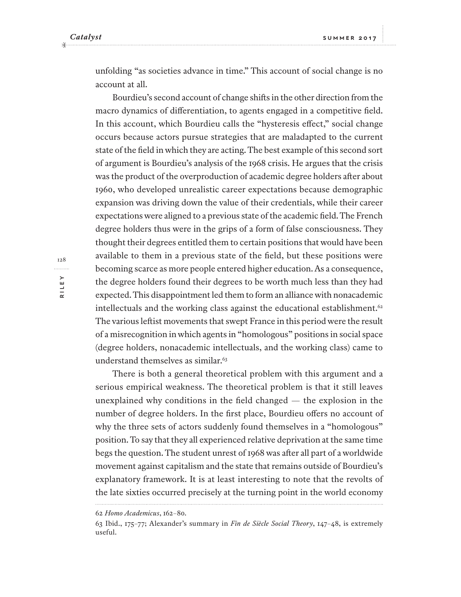unfolding "as societies advance in time." This account of social change is no account at all.

Bourdieu's second account of change shifs in the other direction from the macro dynamics of diferentiation, to agents engaged in a competitive field. In this account, which Bourdieu calls the "hysteresis efect," social change occurs because actors pursue strategies that are maladapted to the current state of the field in which they are acting. The best example of this second sort of argument is Bourdieu's analysis of the 1968 crisis. He argues that the crisis was the product of the overproduction of academic degree holders afer about 1960, who developed unrealistic career expectations because demographic expansion was driving down the value of their credentials, while their career expectations were aligned to a previous state of the academic field. The French degree holders thus were in the grips of a form of false consciousness. They thought their degrees entitled them to certain positions that would have been available to them in a previous state of the field, but these positions were becoming scarce as more people entered higher education. As a consequence, the degree holders found their degrees to be worth much less than they had expected. This disappointment led them to form an alliance with nonacademic intellectuals and the working class against the educational establishment. $62$ The various lefist movements that swept France in this period were the result of a misrecognition in which agents in "homologous" positions in social space (degree holders, nonacademic intellectuals, and the working class) came to understand themselves as similar.<sup>63</sup>

There is both a general theoretical problem with this argument and a serious empirical weakness. The theoretical problem is that it still leaves unexplained why conditions in the field changed — the explosion in the number of degree holders. In the first place, Bourdieu offers no account of why the three sets of actors suddenly found themselves in a "homologous" position. To say that they all experienced relative deprivation at the same time begs the question. The student unrest of 1968 was afer all part of a worldwide movement against capitalism and the state that remains outside of Bourdieu's explanatory framework. It is at least interesting to note that the revolts of the late sixties occurred precisely at the turning point in the world economy

<sup>62</sup> *Homo Academicus*, 162–80.

<sup>63</sup> Ibid., 175–77; Alexander's summary in *Fin de Siècle Social Theory*, 147–48, is extremely useful.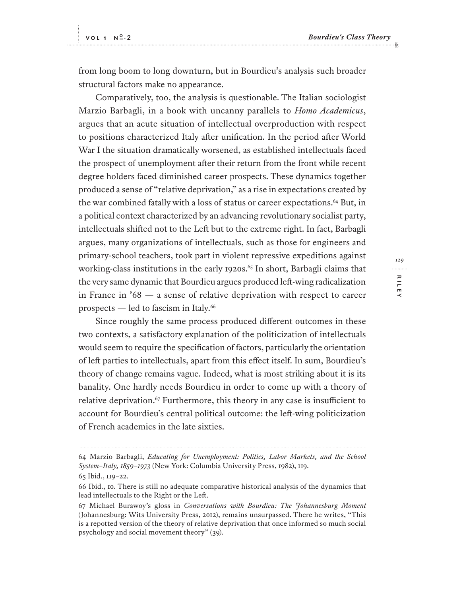from long boom to long downturn, but in Bourdieu's analysis such broader structural factors make no appearance.

Comparatively, too, the analysis is questionable. The Italian sociologist Marzio Barbagli, in a book with uncanny parallels to *Homo Academicus*, argues that an acute situation of intellectual overproduction with respect to positions characterized Italy afer unification. In the period afer World War I the situation dramatically worsened, as established intellectuals faced the prospect of unemployment afer their return from the front while recent degree holders faced diminished career prospects. These dynamics together produced a sense of "relative deprivation," as a rise in expectations created by the war combined fatally with a loss of status or career expectations.<sup>64</sup> But, in a political context characterized by an advancing revolutionary socialist party, intellectuals shifed not to the Lef but to the extreme right. In fact, Barbagli argues, many organizations of intellectuals, such as those for engineers and primary-school teachers, took part in violent repressive expeditions against working-class institutions in the early 1920s.<sup>65</sup> In short, Barbagli claims that the very same dynamic that Bourdieu argues produced lef-wing radicalization in France in '68 — a sense of relative deprivation with respect to career prospects  $-$  led to fascism in Italy.<sup>66</sup>

Since roughly the same process produced diferent outcomes in these two contexts, a satisfactory explanation of the politicization of intellectuals would seem to require the specification of factors, particularly the orientation of lef parties to intellectuals, apart from this efect itself. In sum, Bourdieu's theory of change remains vague. Indeed, what is most striking about it is its banality. One hardly needs Bourdieu in order to come up with a theory of relative deprivation.<sup> $67$ </sup> Furthermore, this theory in any case is insufficient to account for Bourdieu's central political outcome: the lef-wing politicization of French academics in the late sixties.

<sup>64</sup> Marzio Barbagli, *Educating for Unemployment: Politics, Labor Markets, and the School System–Italy, 1859–1973* (New York: Columbia University Press, 1982), 119. 65 Ibid., 119–22.

<sup>66</sup> Ibid., 10. There is still no adequate comparative historical analysis of the dynamics that lead intellectuals to the Right or the Lef.

<sup>67</sup> Michael Burawoy's gloss in *Conversations with Bourdieu: The Johannesburg Moment* (Johannesburg: Wits University Press, 2012), remains unsurpassed. There he writes, "This is a repotted version of the theory of relative deprivation that once informed so much social psychology and social movement theory" (39).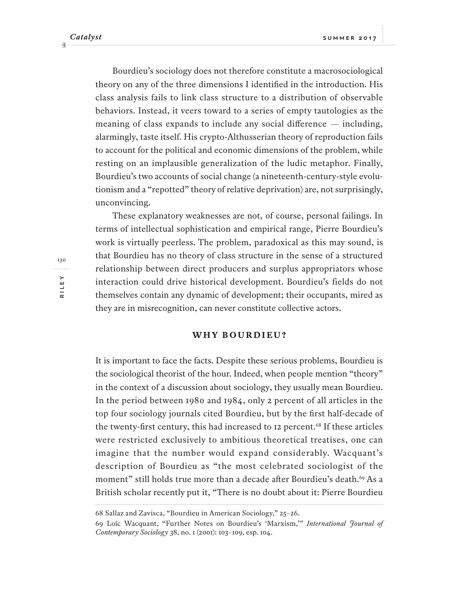Bourdieu's sociology does not therefore constitute a macrosociological theory on any of the three dimensions I identified in the introduction. His class analysis fails to link class structure to a distribution of observable behaviors. Instead, it veers toward to a series of empty tautologies as the meaning of class expands to include any social diference — including, alarmingly, taste itself. His crypto-Althusserian theory of reproduction fails to account for the political and economic dimensions of the problem, while resting on an implausible generalization of the ludic metaphor. Finally, Bourdieu's two accounts of social change (a nineteenth-century-style evolutionism and a "repotted" theory of relative deprivation) are, not surprisingly, unconvincing.

These explanatory weaknesses are not, of course, personal failings. In terms of intellectual sophistication and empirical range, Pierre Bourdieu's work is virtually peerless. The problem, paradoxical as this may sound, is that Bourdieu has no theory of class structure in the sense of a structured relationship between direct producers and surplus appropriators whose interaction could drive historical development. Bourdieu's fields do not themselves contain any dynamic of development; their occupants, mired as they are in misrecognition, can never constitute collective actors.

### **WHY BOURDIEU?**

It is important to face the facts. Despite these serious problems, Bourdieu is the sociological theorist of the hour. Indeed, when people mention "theory" in the context of a discussion about sociology, they usually mean Bourdieu. In the period between 1980 and 1984, only 2 percent of all articles in the top four sociology journals cited Bourdieu, but by the first half-decade of the twenty-first century, this had increased to 12 percent.<sup>68</sup> If these articles were restricted exclusively to ambitious theoretical treatises, one can imagine that the number would expand considerably. Wacquant's description of Bourdieu as "the most celebrated sociologist of the moment" still holds true more than a decade after Bourdieu's death.<sup>69</sup> As a British scholar recently put it, "There is no doubt about it: Pierre Bourdieu

<sup>68</sup> Sallaz and Zavisca, "Bourdieu in American Sociology," 25–26.

<sup>69</sup> Loïc Wacquant, "Further Notes on Bourdieu's 'Marxism,'" *International Journal of Contemporary Sociology* 38, no. 1 (2001): 103–109, esp. 104.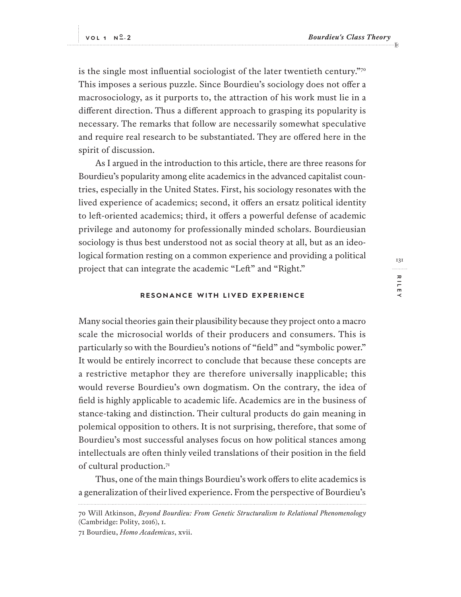is the single most influential sociologist of the later twentieth century.<sup>"70</sup> This imposes a serious puzzle. Since Bourdieu's sociology does not ofer a macrosociology, as it purports to, the attraction of his work must lie in a diferent direction. Thus a diferent approach to grasping its popularity is necessary. The remarks that follow are necessarily somewhat speculative and require real research to be substantiated. They are ofered here in the spirit of discussion.

As I argued in the introduction to this article, there are three reasons for Bourdieu's popularity among elite academics in the advanced capitalist countries, especially in the United States. First, his sociology resonates with the lived experience of academics; second, it offers an ersatz political identity to lef-oriented academics; third, it ofers a powerful defense of academic privilege and autonomy for professionally minded scholars. Bourdieusian sociology is thus best understood not as social theory at all, but as an ideological formation resting on a common experience and providing a political project that can integrate the academic "Left" and "Right."

#### **RESONANCE WITH LIVED EXPERIENCE**

Many social theories gain their plausibility because they project onto a macro scale the microsocial worlds of their producers and consumers. This is particularly so with the Bourdieu's notions of "field" and "symbolic power." It would be entirely incorrect to conclude that because these concepts are a restrictive metaphor they are therefore universally inapplicable; this would reverse Bourdieu's own dogmatism. On the contrary, the idea of field is highly applicable to academic life. Academics are in the business of stance-taking and distinction. Their cultural products do gain meaning in polemical opposition to others. It is not surprising, therefore, that some of Bourdieu's most successful analyses focus on how political stances among intellectuals are ofen thinly veiled translations of their position in the field of cultural production.<sup>71</sup>

Thus, one of the main things Bourdieu's work ofers to elite academics is a generalization of their lived experience. From the perspective of Bourdieu's

71 Bourdieu, *Homo Academicus*, xvii.

<sup>70</sup> Will Atkinson, *Beyond Bourdieu: From Genetic Structuralism to Relational Phenomenology* (Cambridge: Polity, 2016), 1.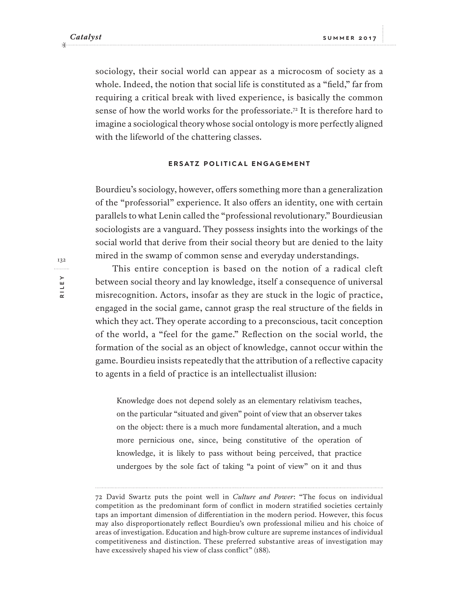sociology, their social world can appear as a microcosm of society as a whole. Indeed, the notion that social life is constituted as a "field," far from requiring a critical break with lived experience, is basically the common sense of how the world works for the professoriate.<sup>72</sup> It is therefore hard to imagine a sociological theory whose social ontology is more perfectly aligned with the lifeworld of the chattering classes.

### **ERSATZ POLITICAL ENGAGEMENT**

Bourdieu's sociology, however, ofers something more than a generalization of the "professorial" experience. It also offers an identity, one with certain parallels to what Lenin called the "professional revolutionary." Bourdieusian sociologists are a vanguard. They possess insights into the workings of the social world that derive from their social theory but are denied to the laity mired in the swamp of common sense and everyday understandings.

This entire conception is based on the notion of a radical cleft between social theory and lay knowledge, itself a consequence of universal misrecognition. Actors, insofar as they are stuck in the logic of practice, engaged in the social game, cannot grasp the real structure of the fields in which they act. They operate according to a preconscious, tacit conception of the world, a "feel for the game." Reflection on the social world, the formation of the social as an object of knowledge, cannot occur within the game. Bourdieu insists repeatedly that the attribution of a reflective capacity to agents in a field of practice is an intellectualist illusion:

Knowledge does not depend solely as an elementary relativism teaches, on the particular "situated and given" point of view that an observer takes on the object: there is a much more fundamental alteration, and a much more pernicious one, since, being constitutive of the operation of knowledge, it is likely to pass without being perceived, that practice undergoes by the sole fact of taking "a point of view" on it and thus

132. . . . . . . . . **RILEY**

<sup>72</sup> David Swartz puts the point well in *Culture and Power*: "The focus on individual competition as the predominant form of conflict in modern stratified societies certainly taps an important dimension of diferentiation in the modern period. However, this focus may also disproportionately reflect Bourdieu's own professional milieu and his choice of areas of investigation. Education and high-brow culture are supreme instances of individual competitiveness and distinction. These preferred substantive areas of investigation may have excessively shaped his view of class conflict" (188).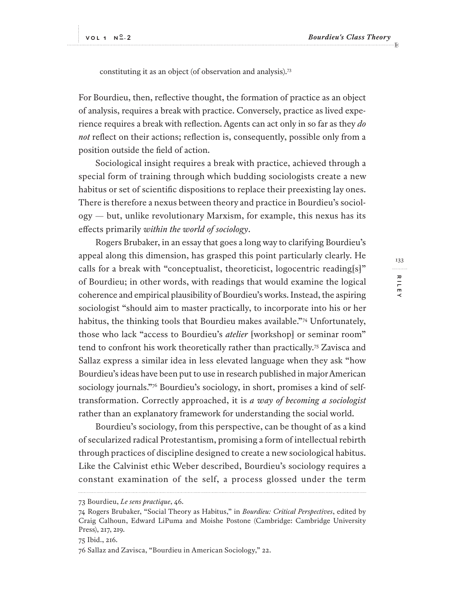constituting it as an object (of observation and analysis).<sup>73</sup>

For Bourdieu, then, reflective thought, the formation of practice as an object of analysis, requires a break with practice. Conversely, practice as lived experience requires a break with reflection. Agents can act only in so far as they *do not* reflect on their actions; reflection is, consequently, possible only from a position outside the field of action.

Sociological insight requires a break with practice, achieved through a special form of training through which budding sociologists create a new habitus or set of scientific dispositions to replace their preexisting lay ones. There is therefore a nexus between theory and practice in Bourdieu's sociology — but, unlike revolutionary Marxism, for example, this nexus has its efects primarily *within the world of sociology*.

Rogers Brubaker, in an essay that goes a long way to clarifying Bourdieu's appeal along this dimension, has grasped this point particularly clearly. He calls for a break with "conceptualist, theoreticist, logocentric reading[s]" of Bourdieu; in other words, with readings that would examine the logical coherence and empirical plausibility of Bourdieu's works. Instead, the aspiring sociologist "should aim to master practically, to incorporate into his or her habitus, the thinking tools that Bourdieu makes available."<sup>74</sup> Unfortunately, those who lack "access to Bourdieu's *atelier* [workshop] or seminar room" tend to confront his work theoretically rather than practically.<sup>75</sup> Zavisca and Sallaz express a similar idea in less elevated language when they ask "how Bourdieu's ideas have been put to use in research published in major American sociology journals."76 Bourdieu's sociology, in short, promises a kind of selftransformation. Correctly approached, it is *a way of becoming a sociologist* rather than an explanatory framework for understanding the social world.

Bourdieu's sociology, from this perspective, can be thought of as a kind of secularized radical Protestantism, promising a form of intellectual rebirth through practices of discipline designed to create a new sociological habitus. Like the Calvinist ethic Weber described, Bourdieu's sociology requires a constant examination of the self, a process glossed under the term

75 Ibid., 216.

133 . . . . . . . . . RILE **RILEY**

<sup>73</sup> Bourdieu, *Le sens practique*, 46.

<sup>74</sup> Rogers Brubaker, "Social Theory as Habitus," in *Bourdieu: Critical Perspectives*, edited by Craig Calhoun, Edward LiPuma and Moishe Postone (Cambridge: Cambridge University Press), 217, 219.

<sup>76</sup> Sallaz and Zavisca, "Bourdieu in American Sociology," 22.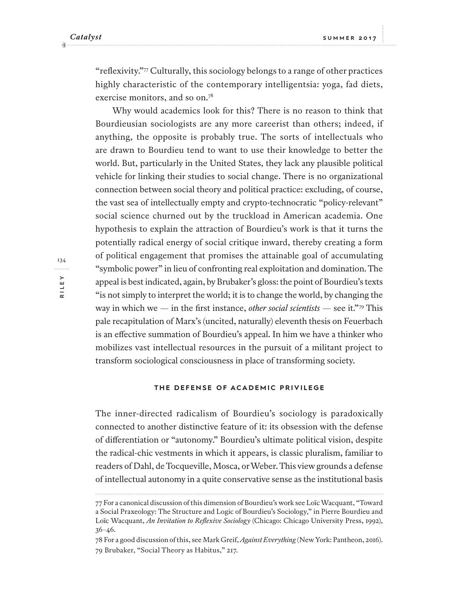"reflexivity."<sup>77</sup> Culturally, this sociology belongs to a range of other practices highly characteristic of the contemporary intelligentsia: yoga, fad diets, exercise monitors, and so on.<sup>78</sup>

Why would academics look for this? There is no reason to think that Bourdieusian sociologists are any more careerist than others; indeed, if anything, the opposite is probably true. The sorts of intellectuals who are drawn to Bourdieu tend to want to use their knowledge to better the world. But, particularly in the United States, they lack any plausible political vehicle for linking their studies to social change. There is no organizational connection between social theory and political practice: excluding, of course, the vast sea of intellectually empty and crypto-technocratic "policy-relevant" social science churned out by the truckload in American academia. One hypothesis to explain the attraction of Bourdieu's work is that it turns the potentially radical energy of social critique inward, thereby creating a form of political engagement that promises the attainable goal of accumulating "symbolic power" in lieu of confronting real exploitation and domination. The appeal is best indicated, again, by Brubaker's gloss: the point of Bourdieu's texts "is not simply to interpret the world; it is to change the world, by changing the way in which we — in the first instance, *other social scientists* — see it."<sup>79</sup> This pale recapitulation of Marx's (uncited, naturally) eleventh thesis on Feuerbach is an efective summation of Bourdieu's appeal. In him we have a thinker who mobilizes vast intellectual resources in the pursuit of a militant project to transform sociological consciousness in place of transforming society.

#### **THE DEFENSE OF ACADEMIC PRIVILEGE**

The inner-directed radicalism of Bourdieu's sociology is paradoxically connected to another distinctive feature of it: its obsession with the defense of diferentiation or "autonomy." Bourdieu's ultimate political vision, despite the radical-chic vestments in which it appears, is classic pluralism, familiar to readers of Dahl, de Tocqueville, Mosca, or Weber. This view grounds a defense of intellectual autonomy in a quite conservative sense as the institutional basis

<sup>77</sup> For a canonical discussion of this dimension of Bourdieu's work see Loïc Wacquant, "Toward a Social Praxeology: The Structure and Logic of Bourdieu's Sociology," in Pierre Bourdieu and Loïc Wacquant, *An Invitation to Reflexive Sociology* (Chicago: Chicago University Press, 1992), 36–46.

<sup>78</sup> For a good discussion of this, see Mark Greif, *Against Everything* (New York: Pantheon, 2016). 79 Brubaker, "Social Theory as Habitus," 217.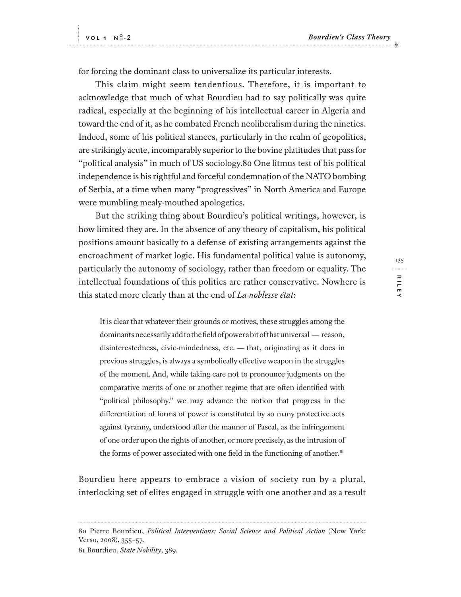for forcing the dominant class to universalize its particular interests.

This claim might seem tendentious. Therefore, it is important to acknowledge that much of what Bourdieu had to say politically was quite radical, especially at the beginning of his intellectual career in Algeria and toward the end of it, as he combated French neoliberalism during the nineties. Indeed, some of his political stances, particularly in the realm of geopolitics, are strikingly acute, incomparably superior to the bovine platitudes that pass for "political analysis" in much of US sociology.80 One litmus test of his political independence is his rightful and forceful condemnation of the NATO bombing of Serbia, at a time when many "progressives" in North America and Europe were mumbling mealy-mouthed apologetics.

But the striking thing about Bourdieu's political writings, however, is how limited they are. In the absence of any theory of capitalism, his political positions amount basically to a defense of existing arrangements against the encroachment of market logic. His fundamental political value is autonomy, particularly the autonomy of sociology, rather than freedom or equality. The intellectual foundations of this politics are rather conservative. Nowhere is this stated more clearly than at the end of *La noblesse état*:

It is clear that whatever their grounds or motives, these struggles among the dominants necessarily add to the field of power a bit of that universal — reason, disinterestedness, civic-mindedness, etc. — that, originating as it does in previous struggles, is always a symbolically efective weapon in the struggles of the moment. And, while taking care not to pronounce judgments on the comparative merits of one or another regime that are ofen identified with "political philosophy," we may advance the notion that progress in the diferentiation of forms of power is constituted by so many protective acts against tyranny, understood afer the manner of Pascal, as the infringement of one order upon the rights of another, or more precisely, as the intrusion of the forms of power associated with one field in the functioning of another. $81$ 

Bourdieu here appears to embrace a vision of society run by a plural, interlocking set of elites engaged in struggle with one another and as a result

135 . . . . . . . . . RILEY **RILEY**

<sup>80</sup> Pierre Bourdieu, *Political Interventions: Social Science and Political Action* (New York: Verso, 2008), 355–57.

<sup>81</sup> Bourdieu, *State Nobility*, 389.